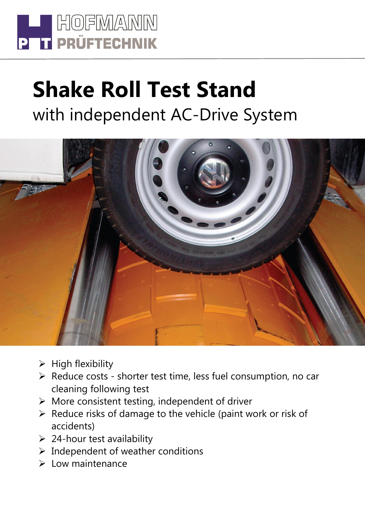

## **Shake Roll Test Stand** with independent AC-Drive System



- $\triangleright$  High flexibility
- Reduce costs shorter test time, less fuel consumption, no car cleaning following test
- $\triangleright$  More consistent testing, independent of driver
- $\triangleright$  Reduce risks of damage to the vehicle (paint work or risk of accidents)
- $\geq 24$ -hour test availability
- $\triangleright$  Independent of weather conditions
- $\triangleright$  Low maintenance